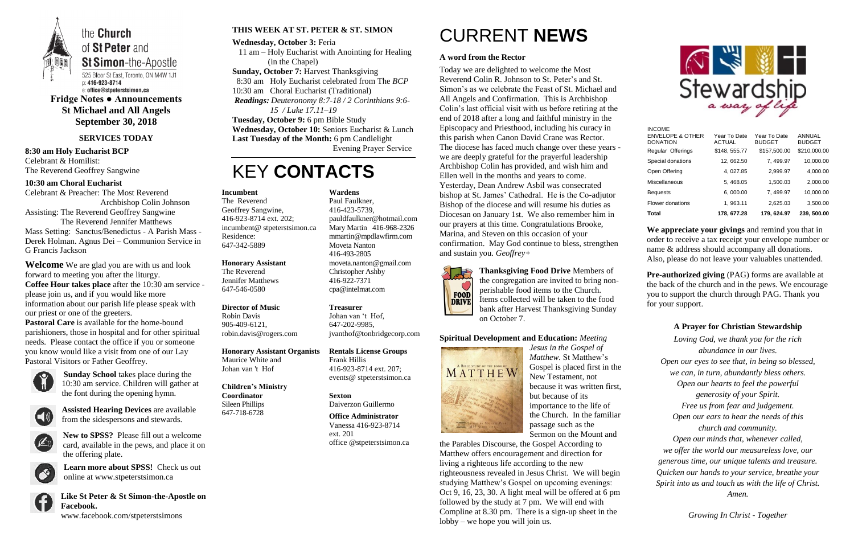

the **Church** of St Peter and **St Simon-the-Apostle** 

525 Bloor St East, Toronto, ON M4W 1J1 p: 416-923-8714 e: office@stpeterstsimon.ca

**Fridge Notes ● Announcements St Michael and All Angels September 30, 2018**

### **SERVICES TODAY**

### **8:30 am Holy Eucharist BCP** Celebrant & Homilist: The Reverend Geoffrey Sangwine

### **10:30 am Choral Eucharist**

Celebrant & Preacher: The Most Reverend Archbishop Colin Johnson

Assisting: The Reverend Geoffrey Sangwine The Reverend Jennifer Matthews

Mass Setting: Sanctus/Benedictus - A Parish Mass - Derek Holman. Agnus Dei – Communion Service in G Francis Jackson

**Welcome** We are glad you are with us and look forward to meeting you after the liturgy. **Coffee Hour takes place** after the 10:30 am service please join us, and if you would like more information about our parish life please speak with our priest or one of the greeters.

**Pastoral Care** is available for the home-bound parishioners, those in hospital and for other spiritual needs. Please contact the office if you or someone you know would like a visit from one of our Lay Pastoral Visitors or Father Geoffrey.



**Sunday School** takes place during the 10:30 am service. Children will gather at the font during the opening hymn.



**Assisted Hearing Devices** are available from the sidespersons and stewards.



**New to SPSS?** Please fill out a welcome card, available in the pews, and place it on the offering plate.



**Learn more about SPSS!** Check us out online at www.stpeterstsimon.ca



**Like St Peter & St Simon-the-Apostle on Facebook.**  www.facebook.com/stpeterstsimons

### **THIS WEEK AT ST. PETER & ST. SIMON**

**Wednesday, October 3:** Feria 11 am – Holy Eucharist with Anointing for Healing (in the Chapel) **Sunday, October 7:** Harvest Thanksgiving 8:30 am Holy Eucharist celebrated from The *BCP* 10:30 am Choral Eucharist (Traditional) *Readings: Deuteronomy 8:7-18 / 2 Corinthians 9:6- 15 / Luke 17.11–19* **Tuesday, October 9:** 6 pm Bible Study **Wednesday, October 10:** Seniors Eucharist & Lunch **Last Tuesday of the Month:** 6 pm Candlelight

Evening Prayer Service

# KEY **CONTACTS**

# CURRENT **NEWS**

### **A word from the Rector**

**Pre-authorized giving (PAG) forms are available at** the back of the church and in the pews. We encourage you to support the church through PAG. Thank you for your support.

Today we are delighted to welcome the Most Reverend Colin R. Johnson to St. Peter's and St. Simon's as we celebrate the Feast of St. Michael and All Angels and Confirmation. This is Archbishop Colin's last official visit with us before retiring at the end of 2018 after a long and faithful ministry in the Episcopacy and Priesthood, including his curacy in this parish when Canon David Crane was Rector. The diocese has faced much change over these years we are deeply grateful for the prayerful leadership Archbishop Colin has provided, and wish him and Ellen well in the months and years to come. Yesterday, Dean Andrew Asbil was consecrated bishop at St. James' Cathedral. He is the Co-adjutor Bishop of the diocese and will resume his duties as Diocesan on January 1st. We also remember him in our prayers at this time. Congratulations Brooke, Marina, and Steven on this occasion of your confirmation. May God continue to bless, strengthen and sustain you. *Geoffrey+*



**Thanksgiving Food Drive** Members of the congregation are invited to bring nonperishable food items to the Church. Items collected will be taken to the food bank after Harvest Thanksgiving Sunday on October 7.

### **Spiritual Development and Education:** *Meeting*



*Jesus in the Gospel of Matthew.* St Matthew's Gospel is placed first in the New Testament, not because it was written first, but because of its importance to the life of the Church. In the familiar passage such as the Sermon on the Mount and

the Parables Discourse, the Gospel According to Matthew offers encouragement and direction for living a righteous life according to the new righteousness revealed in Jesus Christ. We will begin studying Matthew's Gospel on upcoming evenings: Oct 9, 16, 23, 30. A light meal will be offered at 6 pm followed by the study at 7 pm. We will end with Compline at 8.30 pm. There is a sign-up sheet in the lobby – we hope you will join us.



**We appreciate your givings** and remind you that in order to receive a tax receipt your envelope number or name & address should accompany all donations. Also, please do not leave your valuables unattended.

## **A Prayer for Christian Stewardship**

*Loving God, we thank you for the rich abundance in our lives. Open our eyes to see that, in being so blessed, we can, in turn, abundantly bless others. Open our hearts to feel the powerful generosity of your Spirit. Free us from fear and judgement. Open our ears to hear the needs of this church and community. Open our minds that, whenever called, we offer the world our measureless love, our generous time, our unique talents and treasure. Quicken our hands to your service, breathe your Spirit into us and touch us with the life of Christ. Amen.*

*Growing In Christ - Together*

### **Incumbent**

The Reverend Geoffrey Sangwine, 416-923-8714 ext. 202; incumbent@ stpeterstsimon.ca Residence: 647-342-5889

#### **Honorary Assistant**

The Reverend Jennifer Matthews 647-546-0580

### **Director of Music**

Robin Davis 905-409-6121, robin.davis@rogers.com

### **Honorary Assistant Organists**

Maurice White and Johan van 't Hof

**Children's Ministry Coordinator** Sileen Phillips 647-718-6728

## **Wardens**

Paul Faulkner, 416-423-5739, [pauldfaulkner@hotmail.com](mailto:pauldfaulkner@hotmail.com)  Mary Martin 416-968-2326 mmartin@mpdlawfirm.com Moveta Nanton 416-493-2805 moveta.nanton@gmail.com Christopher Ashby 416-922-7371 cpa@intelmat.com

### **Treasurer**

Johan van 't Hof, 647-202-9985, jvanthof@tonbridgecorp.com

#### **Rentals License Groups** Frank Hillis 416-923-8714 ext. 207; events@ stpeterstsimon.ca

**Sexton** Daiverzon Guillermo

**Office Administrator** Vanessa 416-923-8714 ext. 201 office @stpeterstsimon.ca

| Total                                        | 178.677.28                     | 179, 624.97                   | 239, 500.00                   |
|----------------------------------------------|--------------------------------|-------------------------------|-------------------------------|
| Flower donations                             | 1, 963.11                      | 2.625.03                      | 3,500.00                      |
| <b>Bequests</b>                              | 6.000.00                       | 7.499.97                      | 10.000.00                     |
| Miscellaneous                                | 5.468.05                       | 1.500.03                      | 2,000.00                      |
| Open Offering                                | 4.027.85                       | 2.999.97                      | 4.000.00                      |
| Special donations                            | 12, 662.50                     | 7, 499.97                     | 10,000.00                     |
| <b>DONATION</b><br>Regular Offerings         | <b>ACTUAL</b><br>\$148, 555.77 | <b>BUDGET</b><br>\$157,500.00 | <b>BUDGET</b><br>\$210,000.00 |
| <b>INCOME</b><br><b>ENVELOPE &amp; OTHER</b> | Year To Date                   | Year To Date                  | ANNUAL                        |